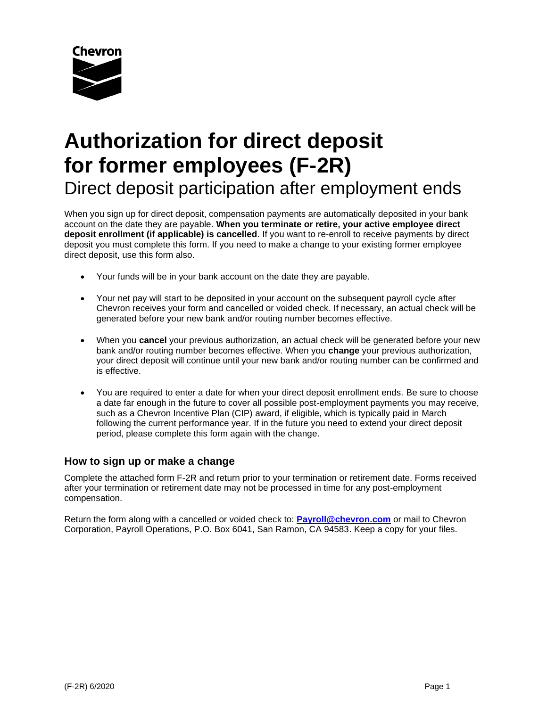

# **Authorization for direct deposit for former employees (F-2R)** Direct deposit participation after employment ends

When you sign up for direct deposit, compensation payments are automatically deposited in your bank account on the date they are payable. **When you terminate or retire, your active employee direct deposit enrollment (if applicable) is cancelled**. If you want to re-enroll to receive payments by direct deposit you must complete this form. If you need to make a change to your existing former employee direct deposit, use this form also.

- Your funds will be in your bank account on the date they are payable.
- Your net pay will start to be deposited in your account on the subsequent payroll cycle after Chevron receives your form and cancelled or voided check. If necessary, an actual check will be generated before your new bank and/or routing number becomes effective.
- When you **cancel** your previous authorization, an actual check will be generated before your new bank and/or routing number becomes effective. When you **change** your previous authorization, your direct deposit will continue until your new bank and/or routing number can be confirmed and is effective.
- You are required to enter a date for when your direct deposit enrollment ends. Be sure to choose a date far enough in the future to cover all possible post-employment payments you may receive, such as a Chevron Incentive Plan (CIP) award, if eligible, which is typically paid in March following the current performance year. If in the future you need to extend your direct deposit period, please complete this form again with the change.

# **How to sign up or make a change**

Complete the attached form F-2R and return prior to your termination or retirement date. Forms received after your termination or retirement date may not be processed in time for any post-employment compensation.

Return the form along with a cancelled or voided check to: **[Payroll@chevron.com](mailto:Payroll@chevron.com)** or mail to Chevron Corporation, Payroll Operations, P.O. Box 6041, San Ramon, CA 94583. Keep a copy for your files.